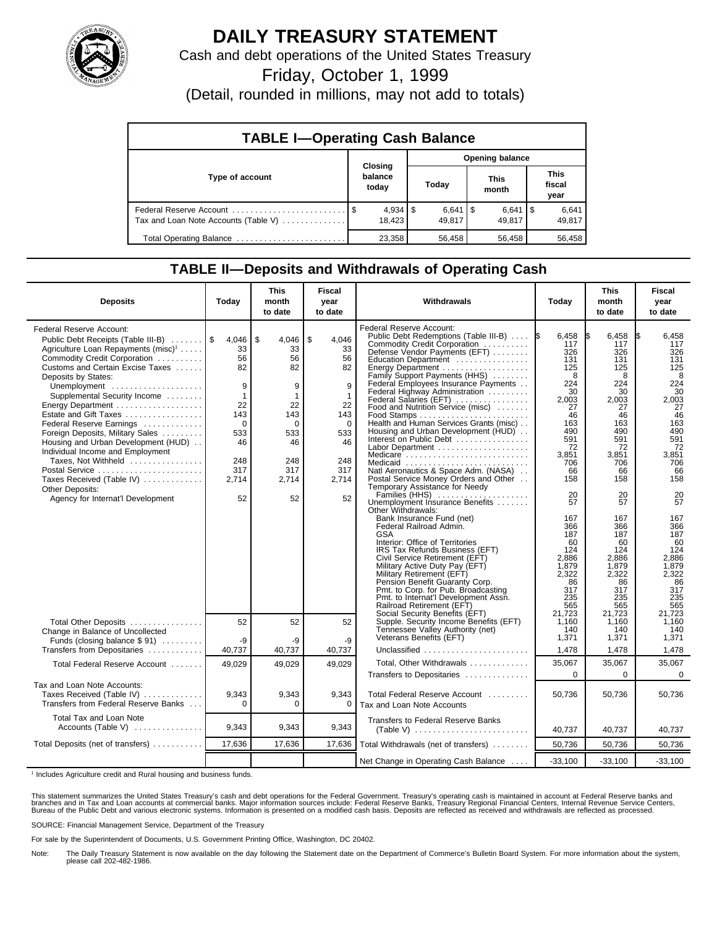

## **DAILY TREASURY STATEMENT**

Cash and debt operations of the United States Treasury

Friday, October 1, 1999

(Detail, rounded in millions, may not add to totals)

| <b>TABLE I-Operating Cash Balance</b> |  |                             |                        |                              |  |                      |  |                               |  |
|---------------------------------------|--|-----------------------------|------------------------|------------------------------|--|----------------------|--|-------------------------------|--|
|                                       |  |                             | <b>Opening balance</b> |                              |  |                      |  |                               |  |
| Type of account                       |  | Closing<br>balance<br>today |                        | Today                        |  | <b>This</b><br>month |  | <b>This</b><br>fiscal<br>year |  |
| Tax and Loan Note Accounts (Table V)  |  | $4,934$   \$<br>18.423      |                        | $6,641$ $\sqrt{5}$<br>49.817 |  | $6,641$ S<br>49.817  |  | 6,641<br>49,817               |  |
| Total Operating Balance               |  | 23.358                      |                        | 56,458                       |  | 56,458               |  | 56,458                        |  |

## **TABLE II—Deposits and Withdrawals of Operating Cash**

| <b>Deposits</b>                                                                                                                                                                                                                                                                                                                                                                                                                                                                                                                                                                                   | Today                                                                                                           | <b>This</b><br>month<br>to date                                                                                       | <b>Fiscal</b><br>year<br>to date                                                                         | Withdrawals                                                                                                                                                                                                                                                                                                                                                                                                                                                                                                                                                                                                                                                                                                                                                                                                                                                                                                                                                                                                                                                                                                                                     | Today                                                                                                                                                                                                                                | <b>This</b><br>month<br>to date                                                                                                                                                                                                      | <b>Fiscal</b><br>year<br>to date                                                                                                                                                                                                     |
|---------------------------------------------------------------------------------------------------------------------------------------------------------------------------------------------------------------------------------------------------------------------------------------------------------------------------------------------------------------------------------------------------------------------------------------------------------------------------------------------------------------------------------------------------------------------------------------------------|-----------------------------------------------------------------------------------------------------------------|-----------------------------------------------------------------------------------------------------------------------|----------------------------------------------------------------------------------------------------------|-------------------------------------------------------------------------------------------------------------------------------------------------------------------------------------------------------------------------------------------------------------------------------------------------------------------------------------------------------------------------------------------------------------------------------------------------------------------------------------------------------------------------------------------------------------------------------------------------------------------------------------------------------------------------------------------------------------------------------------------------------------------------------------------------------------------------------------------------------------------------------------------------------------------------------------------------------------------------------------------------------------------------------------------------------------------------------------------------------------------------------------------------|--------------------------------------------------------------------------------------------------------------------------------------------------------------------------------------------------------------------------------------|--------------------------------------------------------------------------------------------------------------------------------------------------------------------------------------------------------------------------------------|--------------------------------------------------------------------------------------------------------------------------------------------------------------------------------------------------------------------------------------|
| <b>Federal Reserve Account:</b><br>Public Debt Receipts (Table III-B)<br>Agriculture Loan Repayments (misc) <sup>1</sup><br>Commodity Credit Corporation<br>Customs and Certain Excise Taxes<br>Deposits by States:<br>Unemployment<br>Supplemental Security Income<br>Energy Department<br>Estate and Gift Taxes<br>Federal Reserve Earnings<br>Foreign Deposits, Military Sales<br>Housing and Urban Development (HUD)<br>Individual Income and Employment<br>Taxes, Not Withheld<br>Postal Service<br>Taxes Received (Table IV)<br><b>Other Deposits:</b><br>Agency for Internat'l Development | 4,046<br>33<br>56<br>82<br>9<br>$\mathbf{1}$<br>22<br>143<br>$\Omega$<br>533<br>46<br>248<br>317<br>2,714<br>52 | \$<br>$4,046$   \$<br>33<br>56<br>82<br>9<br>$\mathbf{1}$<br>22<br>143<br>0<br>533<br>46<br>248<br>317<br>2,714<br>52 | 4,046<br>33<br>56<br>82<br>9<br>$\mathbf{1}$<br>22<br>143<br>0<br>533<br>46<br>248<br>317<br>2.714<br>52 | <b>Federal Reserve Account:</b><br>Public Debt Redemptions (Table III-B)<br>Commodity Credit Corporation<br>Defense Vendor Payments (EFT)<br>Education Department<br>Energy Department<br>Family Support Payments (HHS)<br>Federal Employees Insurance Payments<br>Federal Highway Administration<br>Federal Salaries (EFT)<br>Food and Nutrition Service (misc)<br>Health and Human Services Grants (misc)<br>Housing and Urban Development (HUD)<br>Interest on Public Debt<br>Labor Department<br>Medicare<br>Medicaid<br>Natl Aeronautics & Space Adm. (NASA)<br>Postal Service Money Orders and Other<br>Temporary Assistance for Needy<br>Families (HHS) $\ldots \ldots \ldots \ldots$<br>Unemployment Insurance Benefits<br>Other Withdrawals:<br>Bank Insurance Fund (net)<br>Federal Railroad Admin.<br><b>GSA</b><br>Interior: Office of Territories<br>IRS Tax Refunds Business (EFT)<br>Civil Service Retirement (EFT)<br>Military Active Duty Pay (EFT)<br>Military Retirement (EFT)<br>Pension Benefit Guaranty Corp.<br>Pmt. to Corp. for Pub. Broadcasting<br>Pmt. to Internat'l Development Assn.<br>Railroad Retirement (EFT) | 6,458<br>117<br>326<br>131<br>125<br>8<br>224<br>30<br>2,003<br>27<br>46<br>163<br>490<br>591<br>72<br>3,851<br>706<br>66<br>158<br>20<br>57<br>167<br>366<br>187<br>60<br>124<br>2,886<br>1,879<br>2,322<br>86<br>317<br>235<br>565 | 6,458<br>117<br>326<br>131<br>125<br>8<br>224<br>30<br>2,003<br>27<br>46<br>163<br>490<br>591<br>72<br>3,851<br>706<br>66<br>158<br>20<br>57<br>167<br>366<br>187<br>60<br>124<br>2,886<br>1,879<br>2,322<br>86<br>317<br>235<br>565 | 6,458<br>117<br>326<br>131<br>125<br>8<br>224<br>30<br>2,003<br>27<br>46<br>163<br>490<br>591<br>72<br>3,851<br>706<br>66<br>158<br>20<br>57<br>167<br>366<br>187<br>60<br>124<br>2,886<br>1,879<br>2,322<br>86<br>317<br>235<br>565 |
| Total Other Deposits<br>Change in Balance of Uncollected<br>Funds (closing balance \$91)                                                                                                                                                                                                                                                                                                                                                                                                                                                                                                          | 52<br>-9                                                                                                        | 52<br>-9                                                                                                              | 52<br>-9                                                                                                 | Social Security Benefits (EFT)<br>Supple. Security Income Benefits (EFT)<br>Tennessee Valley Authority (net)<br>Veterans Benefits (EFT)                                                                                                                                                                                                                                                                                                                                                                                                                                                                                                                                                                                                                                                                                                                                                                                                                                                                                                                                                                                                         | 21,723<br>1,160<br>140<br>1,371                                                                                                                                                                                                      | 21.723<br>1,160<br>140<br>1,371                                                                                                                                                                                                      | 21.723<br>1.160<br>140<br>1,371                                                                                                                                                                                                      |
| Transfers from Depositaries                                                                                                                                                                                                                                                                                                                                                                                                                                                                                                                                                                       | 40,737                                                                                                          | 40,737                                                                                                                | 40,737                                                                                                   | Unclassified                                                                                                                                                                                                                                                                                                                                                                                                                                                                                                                                                                                                                                                                                                                                                                                                                                                                                                                                                                                                                                                                                                                                    | 1,478                                                                                                                                                                                                                                | 1,478                                                                                                                                                                                                                                | 1,478                                                                                                                                                                                                                                |
| Total Federal Reserve Account                                                                                                                                                                                                                                                                                                                                                                                                                                                                                                                                                                     | 49,029                                                                                                          | 49,029                                                                                                                | 49,029                                                                                                   | Total, Other Withdrawals                                                                                                                                                                                                                                                                                                                                                                                                                                                                                                                                                                                                                                                                                                                                                                                                                                                                                                                                                                                                                                                                                                                        | 35,067                                                                                                                                                                                                                               | 35,067                                                                                                                                                                                                                               | 35,067                                                                                                                                                                                                                               |
|                                                                                                                                                                                                                                                                                                                                                                                                                                                                                                                                                                                                   |                                                                                                                 |                                                                                                                       |                                                                                                          | Transfers to Depositaries                                                                                                                                                                                                                                                                                                                                                                                                                                                                                                                                                                                                                                                                                                                                                                                                                                                                                                                                                                                                                                                                                                                       | $\Omega$                                                                                                                                                                                                                             | $\Omega$                                                                                                                                                                                                                             | $\Omega$                                                                                                                                                                                                                             |
| Tax and Loan Note Accounts:<br>Taxes Received (Table IV)<br>Transfers from Federal Reserve Banks                                                                                                                                                                                                                                                                                                                                                                                                                                                                                                  | 9,343<br>$\Omega$                                                                                               | 9,343<br>$\Omega$                                                                                                     | 9,343<br>0                                                                                               | Total Federal Reserve Account<br>Tax and Loan Note Accounts                                                                                                                                                                                                                                                                                                                                                                                                                                                                                                                                                                                                                                                                                                                                                                                                                                                                                                                                                                                                                                                                                     | 50,736                                                                                                                                                                                                                               | 50,736                                                                                                                                                                                                                               | 50,736                                                                                                                                                                                                                               |
| Total Tax and Loan Note<br>Accounts (Table V) $\dots\dots\dots\dots$                                                                                                                                                                                                                                                                                                                                                                                                                                                                                                                              | 9,343                                                                                                           | 9,343                                                                                                                 | 9,343                                                                                                    | Transfers to Federal Reserve Banks                                                                                                                                                                                                                                                                                                                                                                                                                                                                                                                                                                                                                                                                                                                                                                                                                                                                                                                                                                                                                                                                                                              | 40,737                                                                                                                                                                                                                               | 40,737                                                                                                                                                                                                                               | 40,737                                                                                                                                                                                                                               |
| Total Deposits (net of transfers)                                                                                                                                                                                                                                                                                                                                                                                                                                                                                                                                                                 | 17,636                                                                                                          | 17,636                                                                                                                | 17,636                                                                                                   | Total Withdrawals (net of transfers)                                                                                                                                                                                                                                                                                                                                                                                                                                                                                                                                                                                                                                                                                                                                                                                                                                                                                                                                                                                                                                                                                                            | 50,736                                                                                                                                                                                                                               | 50,736                                                                                                                                                                                                                               | 50,736                                                                                                                                                                                                                               |
|                                                                                                                                                                                                                                                                                                                                                                                                                                                                                                                                                                                                   |                                                                                                                 |                                                                                                                       |                                                                                                          | Net Change in Operating Cash Balance                                                                                                                                                                                                                                                                                                                                                                                                                                                                                                                                                                                                                                                                                                                                                                                                                                                                                                                                                                                                                                                                                                            | $-33,100$                                                                                                                                                                                                                            | $-33,100$                                                                                                                                                                                                                            | $-33,100$                                                                                                                                                                                                                            |

<sup>1</sup> Includes Agriculture credit and Rural housing and business funds.

This statement summarizes the United States Treasury's cash and debt operations for the Federal Government. Treasury's operating cash is maintained in account at Federal Reserve banks and<br>branches and in Tax and Loan accou

SOURCE: Financial Management Service, Department of the Treasury

For sale by the Superintendent of Documents, U.S. Government Printing Office, Washington, DC 20402.

Note: The Daily Treasury Statement is now available on the day following the Statement date on the Department of Commerce's Bulletin Board System. For more information about the system, please call 202-482-1986.